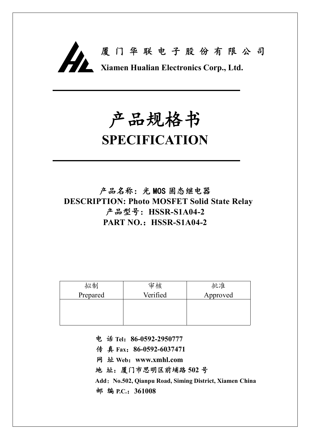

# **产品规格书**

## **SPECIFICATION**

**产品名称:光 MOS 固态继电器 DESCRIPTION: Photo MOSFET Solid State Relay 产品型号:HSSR-S1A04-2 PART NO.:HSSR-S1A04-2**

| 拟制       | 审核       | 批准       |
|----------|----------|----------|
| Prepared | Verified | Approved |
|          |          |          |
|          |          |          |
|          |          |          |

**电 话 Tel:86-0592-2950777**

**传 真 Fax:86-0592-6037471**

**网 址 Web:www.xmhl.com**

**地 址:厦门市思明区前埔路 502 号**

**Add:No.502, Qianpu Road, Siming District, Xiamen China 邮 编 P.C.:361008**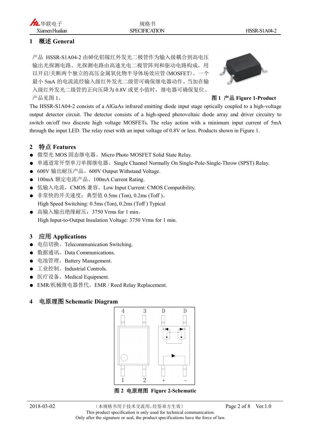#### **1 概述 General**

产品 HSSR-S1A04-2 由砷化铝镓红外发光二极管作为输入级耦合到高电压 输出光探测电路。光探测电路由高速光电二极管阵列和驱动电路构成,用 以开启/关断两个独立的高压金属氧化物半导体场效应管(MOSFET)。一个 最小 5mA 的电流流经输入级红外发光二级管可确保继电器动作。当加在输 入级红外发光二级管的正向压降为 0.8V 或更小值时,继电器可确保复位。 产品见图 1。 **图 1 产品 Figure 1-Product**



The HSSR-S1A04-2 consists of a AlGaAs infrared emitting diode input stage optically coupled to a high-voltage output detector circuit. The detector consists of a high-speed photovoltaic diode array and driver circuitry to switch on/off two discrete high voltage MOSFETs. The relay action with a minimum input current of 5mA through the input LED. The relay reset with an input voltage of 0.8V or less. Products shown in Figure 1.

#### **2 特点 Features**

- 微型光 MOS 固态继电器。Micro Photo MOSFET Solid State Relay.
- 单通道常开型单刀单掷继电器。Single Channel Normally On Single-Pole-Single-Throw (SPST) Relay.
- 600V 输出耐压产品。600V Output Withstand Voltage.
- 100mA 额定电流产品。100mA Current Rating.
- 低输入电流, CMOS 兼容。Low Input Current: CMOS Compatibility.
- 非常快的开关速度:典型值 0.5ms (Ton), 0.2ms (Toff )。 High Speed Switching: 0.5ms (Ton), 0.2ms (Toff ) Typical
- 高输入输出绝缘耐压: 3750 Vrms for 1 min。 High Input-to-Output Insulation Voltage: 3750 Vrms for 1 min.

#### **3 应用 Applications**

- 电信切换。Telecommunication Switching.
- 数据通讯。Data Communications.
- 电池管理。Battery Management.
- 工业控制。Industrial Controls.
- 医疗设备。Medical Equipment.
- **EMR/机械继电器替代。EMR / Reed Relay Replacement.**

#### **4 电原理图 Schematic Diagram**

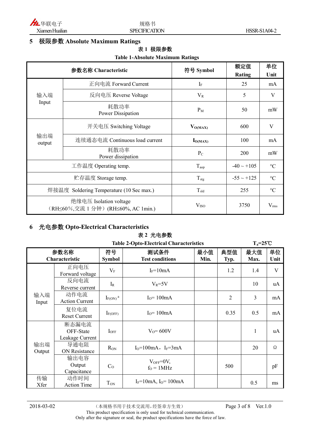

#### **5 极限参数 Absolute Maximum Ratings**

#### **表 1 极限参数**

#### **Table 1-Absolute Maximum Ratings**

| 参数名称 Characteristic                      |                                                               | 符号 Symbol        | 额定值             | 单位              |
|------------------------------------------|---------------------------------------------------------------|------------------|-----------------|-----------------|
|                                          |                                                               |                  | <b>Rating</b>   | Unit            |
|                                          | 正向电流 Forward Current                                          | $I_F$            | 25              | mA              |
| 输入端                                      | 反向电压 Reverse Voltage                                          | $V_R$            | 5               | V               |
| Input                                    | 耗散功率<br>Power Dissipation                                     | $P_M$            | 50              | mW              |
| 输出端<br>output                            | 开关电压 Switching Voltage                                        | $V_{O(MAX)}$     | 600             | V               |
|                                          | 连续通态电流 Continuous load current                                | $I_{O(MAX)}$     | 100             | mA              |
|                                          | 耗散功率<br>Power dissipation                                     | $P_{C}$          | 200             | mW              |
| 工作温度 Operating temp.                     |                                                               | $T_{\rm{aop}}$   | $-40 \sim +105$ | $\rm ^{\circ}C$ |
| 贮存温度 Storage temp.                       |                                                               | $T_{\text{stg}}$ | $-55 \sim +125$ | $\rm ^{\circ}C$ |
| 焊接温度 Soldering Temperature (10 Sec max.) |                                                               | $T_{\rm sld}$    | 255             | $\rm ^{\circ}C$ |
|                                          | 绝缘电压 Isolation voltage<br>(RH≤60%,交流 1 分钟) (RH≤60%, AC 1min.) | V <sub>ISO</sub> | 3750            | $V_{\rm rms}$   |

#### **6 光电参数 Opto-Electrical Characteristics**

#### **表 2 光电参数**

| <b>Table 2-Opto-Electrical Characteristics</b> |                                       |                          |                                |             | $T_a = 25^{\circ}C$ |             |            |
|------------------------------------------------|---------------------------------------|--------------------------|--------------------------------|-------------|---------------------|-------------|------------|
| 参数名称<br>Characteristic                         |                                       | 符号<br><b>Symbol</b>      | 测试条件<br><b>Test conditions</b> | 最小值<br>Min. | 典型值<br>Typ.         | 最大值<br>Max. | 单位<br>Unit |
|                                                | 正向电压<br>Forward voltage               | $V_{\rm F}$              | $I_F = 10mA$                   |             | 1.2                 | 1.4         | V          |
|                                                | 反向电流<br>Reverse current               | $I_{R}$                  | $V_R = 5V$                     |             |                     | 10          | uA         |
| 输入端<br>Input                                   | 动作电流<br><b>Action Current</b>         | $I_{F(ON)}$ <sup>a</sup> | $I0=100mA$                     |             | $\overline{2}$      | 3           | mA         |
|                                                | 复位电流<br><b>Reset Current</b>          | $I_{F(OFF)}$             | $I0=100mA$                     |             | 0.35                | 0.5         | mA         |
|                                                | 断态漏电流<br>OFF-State<br>Leakage Current | $I_{OFF}$                | $V_0 = 600V$                   |             |                     | 1           | uA         |
| 输出端<br>Output                                  | 导通电阻<br>ON Resistance                 | $R_{ON}$                 | $I_0=100mA$ , $I_F=3mA$        |             |                     | 20          | Ω          |
|                                                | 输出电容<br>Output<br>Capacitance         | C <sub>O</sub>           | $V_{OFF}=0V$ ,<br>$fO = 1 MHz$ |             | 500                 |             | pF         |
| 传输<br>Xfer                                     | 动作时间<br><b>Action Time</b>            | T <sub>ON</sub>          | $I_F = 10mA$ , $I_O = 100mA$   |             |                     | 0.5         | ms         |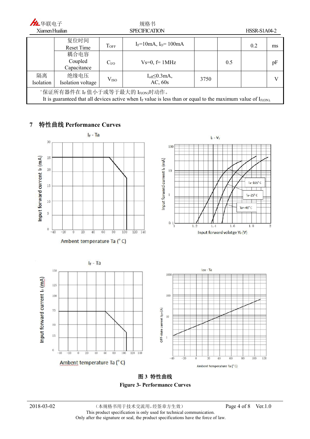| 九华联电子                                                                                                                                                     |                                |                   | 规格书                               |      |     |              |    |
|-----------------------------------------------------------------------------------------------------------------------------------------------------------|--------------------------------|-------------------|-----------------------------------|------|-----|--------------|----|
| Xiamen Hualian                                                                                                                                            |                                |                   | <b>SPECIFICATION</b>              |      |     | HSSR-S1A04-2 |    |
|                                                                                                                                                           | 复位时间<br>Reset Time             | $T$ OFF           | $I_F = 10mA$ , $I_O = 100mA$      |      |     | 0.2          | ms |
|                                                                                                                                                           | 耦合电容<br>Coupled<br>Capacitance | C <sub>1</sub> /O | $Vs=0, f=1MHz$                    |      | 0.5 |              | pF |
| 隔离<br>Isolation                                                                                                                                           | 绝缘电压<br>Isolation voltage      | V <sub>ISO</sub>  | $I_{off} \leq 0.3$ mA,<br>AC, 60s | 3750 |     |              |    |
| "保证所有器件在 IF 值小于或等于最大的 IF(ON)时动作。<br>It is guaranteed that all devices active when $I_F$ value is less than or equal to the maximum value of $I_{F(ON)}$ . |                                |                   |                                   |      |     |              |    |

#### **7 特性曲线 Performance Curves**



**图 3 特性曲线 Figure 3- Performance Curves**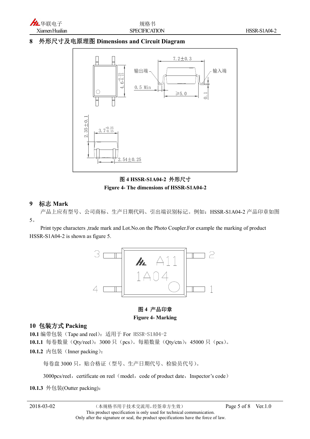

#### **8 外形尺寸及电原理图 Dimensions and Circuit Diagram**



**图 4 HSSR-S1A04-2 外形尺寸 Figure 4- The dimensions of HSSR-S1A04-2**

#### **9 标志 Mark**

产品上应有型号、公司商标、生产日期代码、引出端识别标记。例如:HSSR-S1A04-2 产品印章如图 5。

Print type characters ,trade mark and Lot.No.on the Photo Coupler.For example the marking of product HSSR-S1A04-2 is shown as figure 5.



#### **图 4 产品印章 Figure 4- Marking**

#### **10 包装方式 Packing**

**10.1** 编带包装(Tape and reel):适用于 For HSSR-S1A04-2

10.1.1 每卷数量(Qty/reel): 3000 只(pcs)。每箱数量(Qty/ctn): 45000 只(pcs)。

10.1.2 内包装 (Inner packing):

每卷盘 3000 只,贴合格证(型号、生产日期代号、检验员代号)。

3000pcs/reel, certificate on reel (model, code of product date, Inspector's code)

**10.1.3** 外包装(Outter packing):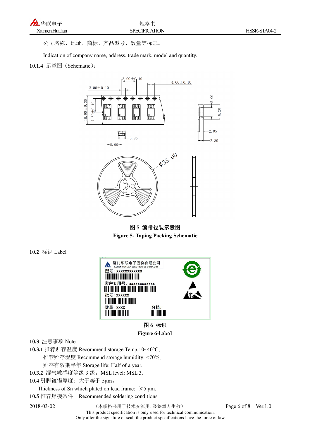

公司名称、地址、商标、产品型号、数量等标志。

Indication of company name, address, trade mark, model and quantity.

#### **10.1.4** 示意图(Schematic):



**图 5 编带包装示意图 Figure 5- Taping Packing Schematic**

**10.2** 标识 Label



**图 6 标识 Figure 6-Label**

**10.3** 注意事项 Note

**10.3.1** 推荐贮存温度 Recommend storage Temp.: 0~40°C; 推荐贮存湿度 Recommend storage humidity: <70%; 贮存有效期半年 Storage life: Half of a year. **10.3.2** 湿气敏感度等级 3 级。MSL level: MSL 3.

**10.4** 引脚镀锡厚度:大于等于 5μm。

Thickness of Sn which plated on lead frame:  $\geq 5$  µm. **10.5** 推荐焊接条件 Recommended soldering conditions

2018-03-02 (本规格书用于技术交流用,经签章方生效) Page 6 of 8 Ver.1.0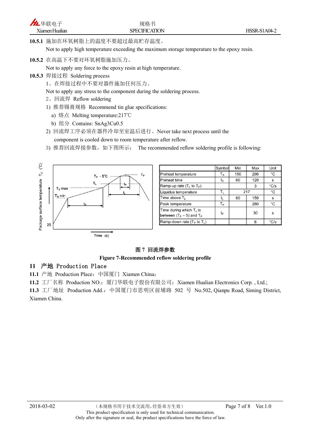**10.5.1** 施加在环氧树脂上的温度不要超过最高贮存温度。

Not to apply high temperature exceeding the maximum storage temperature to the epoxy resin.

**10.5.2** 在高温下不要对环氧树脂施加压力。

Not to apply any force to the epoxy resin at high temperature.

- **10.5.3** 焊接过程 Soldering process
	- 1、在焊接过程中不要对器件施加任何压力。

Not to apply any stress to the component during the soldering process.

- 2、回流焊 Reflow soldering
- 1) 推荐锡膏规格 Recommend tin glue specifications:
	- a) 熔点 Melting temperature:217℃
	- b) 组分 Contains: SnAg3Cu0.5
- 2) 回流焊工序必须在器件冷却至室温后进行。Never take next process until the component is cooled down to room temperature after reflow.
- 3) 推荐回流焊接参数,如下图所示: The recommended reflow soldering profile is following:



|                                                             | Symbol                  | Min | Max | Unit |
|-------------------------------------------------------------|-------------------------|-----|-----|------|
| Preheat temperature                                         | $\mathsf{T}_\mathsf{S}$ | 150 | 200 | °С   |
| Preheat time                                                | ts                      | 60  | 120 | s    |
| Ramp-up rate $(T_L$ to $T_P$ )                              |                         |     | 3   | °C/s |
| Liquidus temperature                                        | $T_{L}$                 | 217 |     | °C   |
| Time above T <sub>1</sub>                                   | tı                      | 60  | 150 | s    |
| Peak temperature                                            | Tр                      |     | 260 | °C   |
| Time during which $T_c$ is<br>between $(T_P - 5)$ and $T_P$ | tp                      |     | 30  | S    |
| Ramp-down rate $(T_P$ to $T_L$ )                            |                         |     | 6   | °C/s |

#### **图 7 回流焊参数**

#### **Figure 7-Recommended reflow soldering profile**

#### **11 产地 Production Place**

**11.1** 产地 Production Place:中国厦门 Xiamen China;

11.2 工厂名称 Production NO.: 厦门华联电子股份有限公司; Xiamen Hualian Electronics Corp., Ltd.;

11.3 工厂地址 Production Add.: 中国厦门市思明区前埔路 502 号 No.502, Qianpu Road, Siming District, Xiamen China.